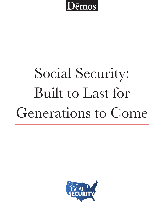

# Social Security: **Built to Last for** Generations to Come

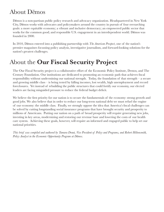## About Demos

Dēmos is a non-partisan public policy research and advocacy organization. Headquartered in New York City, Demos works with advocates and policymakers around the country in pursuit of four overarching goals: a more equitable economy; a vibrant and inclusive democracy; an empowered public sector that works for the common good; and responsible U.S. engagement in an interdependent world. Demos was founded in 2000.

In 2010, Demos entered into a publishing partnership with *The American Prospect*, one of the nation's premier magazines focussing policy analysis, investigative journalism, and forward-looking solutions for the nation's greatest challenges.

## About the Our Fiscal Security Project

The Our Fiscal Security project is a collaborative effort of the Economic Policy Institute, Demos, and The Century Foundation. Our institutions are dedicated to promoting an economic path that achieves fiscal responsibility without undermining our national strength. Today, the foundation of that strength  $-$  a secure and growing middle class – is being tested by falling incomes, lost wealth, high unemployment and record foreclosures. Yet instead of rebuilding the public structures that could fortify our economy, our elected leaders are facing misguided pressure to reduce the federal budget deficit.

We believe the first priority for our nation is to secure the fundamentals of the economy: strong growth and good jobs. We also believe that in order to reduce our long-term national debt we must refuel the engine of our economy: the middle class. Finally, we strongly oppose the idea that America's fiscal challenges can be solved by cutting longstanding social insurance programs that have brought security and prosperity to millions of Americans. Putting our nation on a path of broad prosperity will require generating new jobs, investing in key areas, modernizing and restoring our revenue base and lowering the costs of our health care system. Achieving these goals, however, will require an informed and engaged public to help set our national priorities.

This brief was compiled and authored by Tamara Draut, Vice President of Policy and Programs, and Robert Hiltonsmith, Policy Analyst in the Economic Opportunity Program at Dēmos.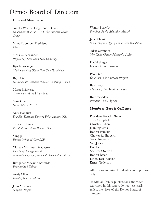### Demos Board of Directors

#### **Current Members**

Amelia Warren Tyagi, Board Chair Co-Founder & EVP/COO, The Business Talent Group

Miles Rapoport, President Dēmos

Mark C. Alexander Professor of Law, Seton Hall University

**Ben Binswanger** Chief Operating Officer, The Case Foundation

Raj Date Chairman & Executive Director, Cambridge Winter

Maria Echaveste Co-Founder, Nueva Vista Group

Gina Glantz Senior Advisor, SEIU

Amy Hanauer Founding Executive Director, Policy Matters Ohio

Stephen Heintz President, Rockefeller Brothers Fund

Sang Ji Partner, White & Case LLP

Clarissa Martinez De Castro Director of Immigration & National Campaigns, National Council of La Raza

Rev. Janet McCune Edwards Presbyterian Minister

Arnie Miller Founder, Isaacson Miller

John Morning Graphic Designer **Wendy Puriefoy** President, Public Education Network

Janet Shenk Senior Program Officer, Panta Rhea Foundation

Adele Simmons Vice Chair, Chicago Metropolis 2020

David Skaggs Former Congressmen

Paul Starr Co-Editor, The American Prospect

**Ben Tayor** Chairman, The American Prospect

Ruth Wooden President, Public Agenda

#### Members, Past & On Leave

President Barack Obama Tom Campbell Christine Chen Juan Figueroa Robert Franklin Charles R. Halpern Sara Horowitz Van Jones Eric Liu **Spencer Overton** Robert Reich Linda Tarr-Whelan Ernest Tollerson

Affiliations are listed for identification purposes only.

As with all Demos publications, the views expressed in this report do not necessarily reflect the views of the Dēmos Board of **Trustees**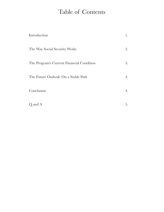## Table of Contents

| Introduction                              | 1. |
|-------------------------------------------|----|
| The Way Social Security Works             | 2. |
| The Program's Current Financial Condition | 3. |
| The Future Outlook: On a Stable Path      | 4. |
| Conclusion                                | 4. |
| Q and A                                   | 5. |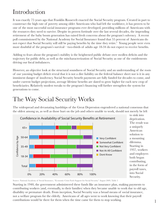## Introduction

It was exactly 75 years ago that Franklin Roosevelt enacted the Social Security program. Created in part to counteract the high rate of poverty among older Americans who had left the workforce, it has proven to be one of the most successful social insurance programs ever developed, providing millions of Americans with the resources they need to survive. Despite its proven fortitude over the last several decades, the impending retirement of the baby boom generation has raised fresh concerns about the program's solvency. A recent poll commissioned by the National Academy for Social Insurance found that 55 percent of Americans do not expect that Social Security will still be paying benefits by the time they retire.<sup>1</sup> Young people were even more doubtful of the program's survival—two-thirds of adults age 18-34 do not expect to receive benefits.

Adding to fears about the program's stability is the heightened public debate over swollen deficits and the trajectory for public debt, as well as the mischaracterization of Social Security as one of the entitlements driving our fiscal imbalances.

However, an objective look at the structural soundness of Social Security and an understanding of the roots of our yawning budget deficit reveal that it is not a dire liability on the federal balance sheet nor is it in any imminent danger of insolvency. Social Security benefit payments are fully funded for decades to come, and under current budget projections, average lifetime benefits are slated to grow higher for each new crop of beneficiaries. Relatively modest tweaks to the program's financing will further strengthen the system for generations to come.

## The Way Social Security Works

The widespread and devastating hardships of the Great Depression engendered a national consensus that the oldest among us, as well as those hurt on the job and others unable to work, should not merely be left



deprivation. The result was a uniquely American solution to a mounting dilemma. Starting in 1937, workers and employers both began contributing, in the form of payroll taxes, into Social Security.

Source: National Academy of Social Insurance, "Economic Crisis Fuels Support for Social Security" August 2009, Table 5

Starting in 1940, the government administered these funds like an insurance plan, making payments to contributing workers (and, eventually, to their families) when they became unable to work due to old age, disability or premature death. From inception, Social Security was a broad means of social insurance, not a welfare program for the elderly. Americans of all ages went to work knowing that their payroll contributions would be there for them when the time came for them to stop working.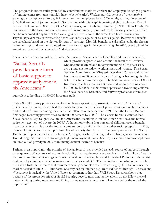The program is almost entirely funded by contributions made by workers and employers (roughly 3 percent of funding comes from taxes on high-income beneficiaries). Workers pay 6.2 percent of their taxable earnings, and employers also pay  $6.2$  percent on their employees behalf. Currently, earnings in excess of \$106,800 are not subject to the Social Security tax, with this "cap" increasing slightly each year. Payroll taxes are held in Social Security's Old-Age, Survivors, and Disability Insurance (OASDI) Trust Funds. By law, income to the trust funds must be invested in guaranteed, non-marketable Treasury securities, which can be redeemed at any time at face value, giving the trust funds the same flexibility as holding cash. Payroll taxpayers may start receiving benefits as early as age 62 or as late as age 70. Retirement benefits are calculated based on the highest 35 years of earnings. Monthly benefits are also affected by the chosen retirement age, and are then adjusted annually for changes in the cost of living. In 2010, over 36.9 million Americans received Social Security Old Age benefits.<sup>2</sup>

Social Security does not just benefit older Americans. Social Security Disability and Survivors benefits,

"Social Security provides some form of basic support to approximately one in six Americans."

which provide support to workers and the families of workers who become disabled and to family members of the deceased, are a great asset to today's working men and women. The Social Security Administration (SSA) estimates that a 20-year-old worker has a more than 30 percent chance of dying or becoming disabled before reaching retirement age.<sup>3</sup> The National Association of Social Insurance calculates that for a 30-year-old worker earning about  $$27,000$  to  $$33,000$  in 2008 with a spouse and two young children, the Social Security Disability and Survivor protections were each

equivalent to holding a  $$450,000$  insurance policy.<sup>4</sup>

Today, Social Security provides some form of basic support to approximately one in six Americans.<sup>5</sup> Social Security has been identified as a major factor in the reduction of poverty rates among both seniors and children.<sup>6</sup> Poverty among the elderly has fallen from 35 percent in 1959, when the Census Bureau first began recording poverty rates, to about 8.9 percent by 2009.<sup>7</sup> The Census Bureau estimates that Social Security kept roughly 20.5 million Americans -including 14 million Americans above the normal retirement age - out of poverty in 2009.<sup>8</sup> Although only about four percent of children receive benefits from Social Security, it provides more income support to children than any other social program.<sup>9</sup> In fact, more children receive basic support from Social Security than from the Temporary Assistance for Needy Families or Supplemental Security Income <sup>10</sup>, programs whose funding is drawn from general tax revenues. Even during this period of distressingly high unemployment, Social Security is estimated to have kept more children out of poverty in 2009 than unemployment insurance benefits.<sup>11</sup>

Perhaps most importantly, the promise of Social Security has provided a steady source of support through three quarters of a century of economic volatility. During the recent economic crisis, \$2.8 trillion of wealth was lost from retirement savings accounts (defined contribution plans and Individual Retirement Accounts) that are subject to the volatile fluctuations of the stock market.<sup>12</sup> The market has somewhat recovered, but the Urban Institute estimates that retirement savings accounts are still down roughly  $$1.2$  trillion since the market peaked in late 2007. But Social Security has maintained a guaranteed benefit through 12 recessions  $^{13}$  because it is backed by the United States government rather than Wall Street. Research shows that because of the protective effect of Social Security, poverty rates among the elderly do not follow cyclical patterns, rising during recessions and falling during economic expansions, like they do for the rest of the population. $15$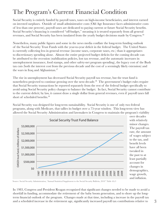## The Program's Current Financial Condition

Social Security is entirely funded by payroll taxes, taxes on high-income beneficiaries, and interest earned on invested surpluses. Outside of small administrative costs (Old Age Insurance faces administrative costs of less than one percent), payroll taxes are dedicated to paying current or future Social Security benefits. Social Security's financing is considered "off-budget," meaning it is treated separately from all general revenues, and Social Security has been insulated from the yearly budget decisions made by Congress.<sup>16</sup>

Nonetheless, many public figures and some in the news media conflate the long-term funding outlook of the Social Security Trust Funds with the year-to-year deficit in the federal budget. The United States is currently collecting less in general revenue (income taxes, corporate taxes, etc.) than it appropriates to discretionary spending alone. Almost the entire projected budget deficits for the coming decade can be attributed to the recession (stabilization policies, lost tax revenue, and the automatic increases in unemployment insurance, food stamps, and other safety-net program spending), the legacy cost of the Bush tax cuts (both the interest cost from the previous decade and the cost of a seemingly likely extension) and the wars in Iraq and Afghanistan. $^{17}$ 

The rise in unemployment has decreased Social Security payroll tax revenue, but the trust fund is nonetheless projected to continue growing over the next decade.<sup>18</sup> The government's budget rules require that Social Security transactions be reported separately from the rest of the federal budget specifically to avoid using Social Security policy changes to balance the budget. In fact, Social Security cannot contribute to the current deficit; by law, it cannot draw a single dollar from general revenues, even if payroll taxes fall short of scheduled benefits.<sup>19</sup>

Social Security was designed for long-term sustainability. Social Security is one of only two federal programs, along with Medicare, that tallies its budget over a 75-year window. This long-term view has allowed the Social Security Administration and lawmakers in Congress to maintain the program's viability



over decades with relatively minor changes. The payroll tax rate, the amount of wages subject to the tax, and benefit levels have all been tweaked in the past to at least partially account for changes in demographics, wage growth, and inflation.

Source: Social Security Administration, "Annual Statistical Supplement to the Social Security Bulletin, 2010" Table 4A.3

In 1983, Congress and President Reagan recognized that significant changes needed to be made to avoid a shortfall in funding, accommodate the retirement of the baby boom generation, and to shore up the long- $\mathcal{L}$  term financial outlook of the program. Changes made at that time, including a increase in the payroll tax Source: Social Security Administration, "Annual Statistical Supplement to the Social Security Bulletin, 2010" Table 4A.3<br>
In 1983, Congress and President Reagan recognized that significant changes needed to be made to avoi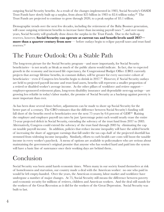outgoing Social Security benefits. As a result of the changes implemented in 1983, Social Security's OASDI Trust Funds have slowly built up a surplus, from about \$25 billion in 1983 to \$2.6 trillion today.<sup>20</sup> The Trust Funds are projected to continue to grow through 2020, to a peak surplus of \$3.1 trillion.

Demographic trends over the next few decades, including the retirement of the Baby Boomer generation, will cause outgoing retirement benefits to increase faster than incoming payroll taxes  $^{21}$ , and over many years, Social Security will gradually draw down the surplus in the Trust Funds. Due to the built-up reserves, however, **Social Security can operate at current tax and benefit levels until 2037 more than a quarter century from now** — before outlays begin to eclipse payroll taxes and trust fund reserves.<sup>22</sup>

## The Future Outlook: On a Stable Path

The long-term picture for the Social Security program—and more importantly, for Social Security beneficiaries—is not nearly as bleak as much of the public alarm would indicate. In fact, due to expected growth in the economy and increased life expectancy, the Congressional Budget Office (CBO) currently projects that average lifetime benefits, in constant dollars, will be greater for every successive cohort of beneficiaries—even if Congress lets benefits begin to shrink in  $2037<sup>23</sup>$  However, if Social Security outlays are held to projected payroll income and trust fund assets, benefits will represent a smaller proportion of a retired or disabled worker's average income. As the other pillars of workforce and retiree support employer-sponsored retirement plans, long-term disability insurance and dependable nest-egg savings—are growing less reliable in today's labor market, the promise of Social Security as a backstop against poverty is more important than ever.

As has been done several times before, adjustments can be made to shore up Social Security for the better part of a century. The CBO estimates that the difference between Social Security's funding will fall short of the benefits owed to beneficiaries over the next 75 years by 0.6 percent of GDP.<sup>24</sup> Raising the employer and employee payroll tax rates by just 1 percentage point each would nearly erase the entire 75-year projected deficit in Social Security, extending the solvency of the trust fund from 2037 to 2083. Alternatively, Congress could extend the solvency of the trust fund through  $2083$  by eliminating the cap on taxable payroll income. In addition, policies that reduce income inequality will have the added benefit of increasing the share of aggregate earnings that fall under the tax cap-half of the projected shortfall has stemmed from widening income inequality. Similarly, efforts to curb health care costs will boost the taxable income in every worker's paycheck. A menu of options are available to policymakers who are serious about maintaining the government's original promise that anyone who has worked hard and paid into the system will have a basic line of sustenance once their working days are behind them...

## Conclusion

Social Security was born amid harsh economic times. When many in our society found themselves at risk of homelessness and starvation, our country made a deal with the American worker: no one who paid in would be left empty-handed. Over the years, the American economy, labor market and workforce have undergone a number of major changes. At 75, Social Security still means the difference between poverty and economic security for millions of retirees, children and American workers. And the deal still stands for the workers of the Great Recession as it did for the workers of the Great Depression. Social Security was built to last.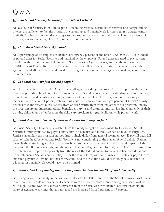## $\mathrm{Q}$  &  $\mathrm{A}$

#### *Q: Will Social Security be there for me when I retire?*

A: Yes. Social Security is on a stable path. Incoming revenue, accumulated reserves and compounding interest are sufficient to fuel the program at current tax and benefit levels for more than a quarter century, until 2037. One or more modest changes to the program between now and then will ensure solvency of the program and meaningful benefits for generations to come.

#### *Q: How does Social Security work?*

A: A percentage of an employee's taxable earnings  $(6.2$  percent of the first \$106,800 in 2010) is withheld as payroll taxes for Social Security, and matched by the employer. Payroll taxes are used to pay current benefits, with surplus income held in Social Security's Old-Age, Survivors, and Disability Insurance (OASDI) Trust Funds. Retirement benefits - which payroll taxpayers may start receiving between the ages of 62 and  $70$  - are calculated based on the highest 35 years of earnings over a working lifetime and retirement age.

#### *Q: Is Social Security just for old people?*

A: No. Social Security benefits Americans of all ages, providing some sort of basic support to about one in six people today. In addition to retirement benefits, Social Security also provides disability and survivor protections for workers who pay into the system and their families. The program has been a major factor in the reduction of poverty rates among children, who account for eight percent of Social Security beneficiaries and receive more benefits from Social Security than from any other social program. Finally, the program creates intergenerational benefits, as parents and grandparents can live independently of their working children and often become the child care providers for grandchildren while parents work.

#### *Q: What does Social Security have to do with the budget deficit?*

A: Social Security's financing is isolated from the yearly budget decisions made by Congress. Social Security is entirely funded by payroll taxes, taxes on benefits, and interest earned on invested surpluses. Under current law, the program cannot draw a single dollar from general revenues, even if payroll taxes fall short of scheduled benefits, and Social Security is not contributing to the current federal deficit. Rather, wirtually the entire budget deficit can be attributed to the adverse economic and financial impacts of the recession, the Bush-era tax cuts, and the wars in Iraq and Afghanistan. Indeed, Social Security transactions are intentionally reported separately from the rest of the federal budget to prevent deficit considerations from influencing Social Security policy. Over the longer-term, without changes to benefits or payroll taxes, expected payouts will eventually exceed revenues, and the trust fund would eventually be exhausted (at which point benefit levels would have to be trimmed).

#### *Q: What effect has growing income inequality had on the health of Social Security?*

A: Rising income inequality in the last several decades has left revenues for the Social Security Trust funds The Idwer than they would otherwise be if earnings were distributed more evenly among American workers. With high-income workers' salaries rising faster than the Social Security taxable earnings threshold, the share of aggregate earnings that are not taxed has increased from 9 percent to 17 percent.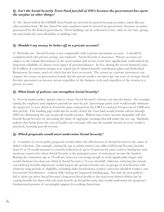#### *Q: Isn't the Social Security Trust Fund just full of IOUs because the government has spent the surplus on other things?*

A: No. Assets held in the OASDI Trust Funds are invested in interest-bearing securities, much like any other pension fund. By law, Social Security surpluses must be invested in special-issue Treasury securities guaranteed by the Federal government. These holdings can be redeemed at face value at any time, giving the trust funds the same flexibility as holding cash.

#### *Q: Wouldn't my money be better off in a private account?*

A: Probably not. Social Security is not comparable with a private investment account  $-$  it should be complemented with private savings, not replaced  $-$  Social Security is insurance. Private accounts are subject to the volatile fluctuations of the stock market and recent events have significantly undermined the long-term reliability of almost every aspect of personal finance. In fact, during the recent financial crisis,  $\$2.8$  trillion of retirement savings were wiped out of defined benefit contribution plans and Individual Retirement Accounts, much of which has not been recovered. The return on a private investment can outpace the return on government bonds, but the private market can also wipe out years of savings; Social Security guarantees an income stream regardless of the business cycle and regardless of the returns to a private account.

#### *Q: What kinds of policies can strengthen Social Security?*

A: Several modest policy options exist to ensure Social Security's solvency far into the future. For example, raising the employer and employee payroll tax rates by just 1 percentage point each would nearly eliminate the projected 75-year deficit in Social Security, estimated by the CBO to total just  $0.6$  percent of GDP over that period. This funding gap could also be nearly closed (the trust fund would remain solvent through  $2083$ ) by eliminating the cap on payroll taxable income. Policies that reduce income inequality will also benefit Social Security by increasing the share of aggregate earnings that fall under the tax cap. Similarly, policies that bring down the cost of health care coverage will raise the taxable income in every worker's paycheck, boosting payroll revenue.

#### *9: Which proposals would most undermine Social Security?*

A: A number of recent policy proposals would reduce the effectiveness of Social Security in the name of deficit reduction. For example, raising the age at which retirees can collect full Social Security benefits from 67 to 70 would amount to a benefit reduction of up to 45 percent for some retirees, hitting low and moderate earners for whom Social Security is the principal source of retirement income the hardest. Raising the retirement age to 70 will not, however, encourage people to work significantly longer and would eliminate less than one third of Social Security's 75-year shortfall. Likewise, reducing the annual  $\cos t$ -of-living benefits adjustment would impose the greatest benefit cuts on groups of beneficiaries with relatively long periods of eligibility, including older beneficiaries, women, survivors, disabled workers, and Iow-income beneficiaries—without fully closing the long-term funding gap. Not only do such policies fail to shore up either Social Security's long-term fiscal health or the near-term federal deficit, but by cutting benefits for those who rely most heavily on Social Security, they would undermine the program's fundamental promise of meaningful support for working Americans.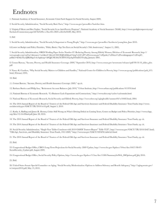## Endnotes

1. National Academy of Social Insurance, Economic Crisis Fuels Support for Social Security, August 2009.

2. Social Security Administration, "Social Security Basic Facts," http://www.ssa.gov/pressoffice/basicfact.htm.

3. Virginia P. Reno and Ben Veghte, "Social Security Is an Anti-Poverty Program", National Academy of Social Insurance (NASI), http://www.spotlightonpoverty.org/ ExclusiveCommentary.aspx?id=8c9cf9cc-c5ba-4f1c-8681-a5fee0a364f9, May 2010.

4. ibid

5. Social Security Administration, "Social Security Is Important to Young People," http://www.ssa.gov/pressoffice/factsheets/young.htm, June 2010.

6. Center on Budget and Policy Priorities, "Policy Basics: Top Ten Facts on Social Security's 70th Anniversary," August 11, 2005.

7. Social Security Administration, ORES Working Paper Series Number 87: Reducing Poverty Among Elderly Women, Division of Economic Research, http:// www.google.com/url?sa=t&source=web&cd=4&ved=0CCIQFjAD&url=http%3A%2F%2Fwww.ssa.gov%2Fpolicy%2Fdocs%2Fworkingpapers%2Fwp87. pdf&ei=kOdaTLn3JIK88ga3-tivAg&usg=AFQjCNE38s2TcMVC8TjzApNTmD23Ttvjbg, January 2001.

8. Census Bureau, "Income, Poverty, and Health Insurance Coverage: 2009," September 2010, http://www.census.gov/newsroom/releases/pdf/09-16-10\_slides\_plot. pdf

9. Nancy K. Cauthen, "Why Social Security Matters to Children and Families," National Center for Children in Poverty, http://www.nccp.org/publications/pub\_615. html, February 2005.

 $10.$  Ibid.

11. Census Bureau, "Income, Poverty, and Health Insurance Coverage: 2009," op cit.

12. Barbara Butrica and Philip Issa, "Retirement Account Balances: July 2010," Urban Institute, http://www.urban.org/publications/411976.html

13. National Bureau of Economic Research, "Us Business Cycle Expansions and Contractions," http://www.nber.org/cycles/cyclesmain.html

15. National Bureau of Economic Research, Social Security and Elderly Poverty, http://www.nber.org/aginghealth/summer04/w10466.html, 2004.

16. The 2010 Annual Report of the Board of Trustees of the Federal Old-Age and Survivors Insurance and Federal Disability Insurance Trust Funds, http://www. socialsecurity.gov/OACT/TR/2010/tr10.pdf, August 5, 2010.

17. Kathy A. Ruffing and James R. Horney, Critics Still Wrong on What's Driving Deficit in Coming Years, Center on Budget and Policy Priorities, http://www.cbpp. org/files/12-16-09bud.pdf, June 28, 2010.

18. The 2010 Annual Report of the Board of Trustees of the Federal Old-Age and Survivors Insurance and Federal Disability Insurance Trust Funds, op. cit.

19. The 2010 Annual Report of the Board of Trustees of the Federal Old-Age and Survivors Insurance and Federal Disability Insurance Trust Funds, op. cit.

20. Social Security Administration, "Single-Year Tables Consistent with 2010 OASDI Trustees Report" Table VI.F7, http://www.ssa.gov/OACT/TR/2010/lr6f7.html; "Old-Age, Survivors, and Disability Insurance Trust Funds, 1957-2009," http://www.ssa.gov/OACT/STATS/table4a3.html

21. The 2010 Annual Report of the Board of Trustees of the Federal Old-Age and Survivors Insurance and Federal Disability Insurance Trust Funds, op. cit.

22. Ibid.

23. Congressional Budget Office, CBO's Long-Term Projections for Social Security: 2009 Update, http://www.cbo.gov/ftpdocs/104xx/doc10457/08-07-SocialSecurity\_Update.pdf, August 2009.

24. Congressional Budget Office, Social Security Policy Options, http://www.cbo.gov/ftpdocs/115xx/doc11580/SummaryforWeb\_SSOptions.pdf, July 2010.

25. Ibid.

26. United States Senate Special Committee on Aging, "Social Security Modernization: Options to Address Solvency and Benefit Adequacy," http://aging.senate.gov/ ss/ssreport2010.pdf, May 13, 2010.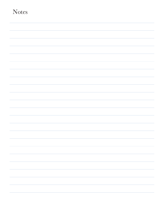| <b>Notes</b> |  |  |
|--------------|--|--|
|              |  |  |
|              |  |  |
|              |  |  |
|              |  |  |
|              |  |  |
|              |  |  |
|              |  |  |
|              |  |  |
|              |  |  |
|              |  |  |
|              |  |  |
|              |  |  |
|              |  |  |
|              |  |  |
|              |  |  |
|              |  |  |
|              |  |  |
|              |  |  |
|              |  |  |
|              |  |  |
|              |  |  |
|              |  |  |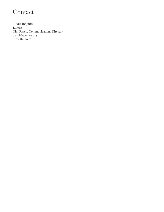## Contact

Media Inquiries:  $\mathbf{D}$ ēmos Tim Rusch, Communications Director  $\mbox{trusch@demos.org}$ 212-389-1407